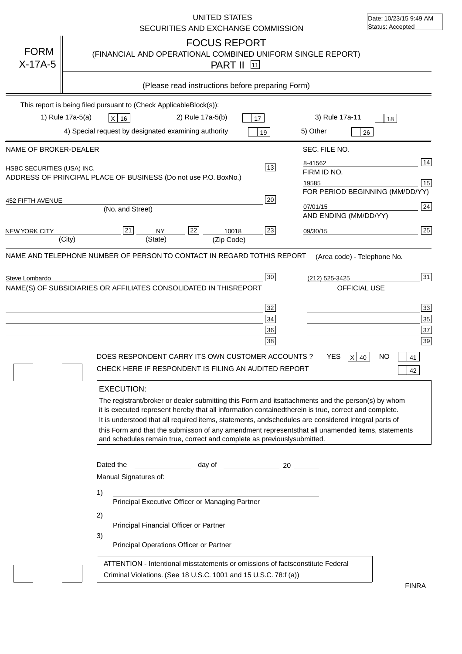|                                   | <b>UNITED STATES</b><br>SECURITIES AND EXCHANGE COMMISSION                                                                                                                                                                                                                                                                                                                                                                                                                                                                                                                                                                                                                                                                                                                      | Date: 10/23/15 9:49 AM<br>Status: Accepted                                                 |
|-----------------------------------|---------------------------------------------------------------------------------------------------------------------------------------------------------------------------------------------------------------------------------------------------------------------------------------------------------------------------------------------------------------------------------------------------------------------------------------------------------------------------------------------------------------------------------------------------------------------------------------------------------------------------------------------------------------------------------------------------------------------------------------------------------------------------------|--------------------------------------------------------------------------------------------|
| <b>FORM</b><br>$X-17A-5$          | <b>FOCUS REPORT</b><br>(FINANCIAL AND OPERATIONAL COMBINED UNIFORM SINGLE REPORT)<br><b>PART II</b> 11                                                                                                                                                                                                                                                                                                                                                                                                                                                                                                                                                                                                                                                                          |                                                                                            |
|                                   | (Please read instructions before preparing Form)                                                                                                                                                                                                                                                                                                                                                                                                                                                                                                                                                                                                                                                                                                                                |                                                                                            |
|                                   | This report is being filed pursuant to (Check Applicable<br>$Block(s)$ :<br>3) Rule 17a-11<br>1) Rule 17a-5(a)<br>2) Rule 17a-5(b)<br>$X$ 16<br>17<br>4) Special request by designated examining authority<br>5) Other<br>19                                                                                                                                                                                                                                                                                                                                                                                                                                                                                                                                                    | 18<br>26                                                                                   |
| NAME OF BROKER-DEALER             | SEC. FILE NO.                                                                                                                                                                                                                                                                                                                                                                                                                                                                                                                                                                                                                                                                                                                                                                   |                                                                                            |
| <b>HSBC SECURITIES (USA) INC.</b> | 8-41562<br>13<br>FIRM ID NO.<br>ADDRESS OF PRINCIPAL PLACE OF BUSINESS (Do not use P.O. Box<br>No.)<br>19585                                                                                                                                                                                                                                                                                                                                                                                                                                                                                                                                                                                                                                                                    | 14<br>15<br>FOR PERIOD BEGINNING (MM/DD/YY)                                                |
| 452 FIFTH AVENUE                  | 20<br>07/01/15<br>(No. and Street)<br>AND ENDING (MM/DD/YY)                                                                                                                                                                                                                                                                                                                                                                                                                                                                                                                                                                                                                                                                                                                     | 24                                                                                         |
| <b>NEW YORK CITY</b>              | 22<br>21<br>23<br>10018<br><b>NY</b><br>09/30/15<br>(City)<br>(State)<br>(Zip Code)                                                                                                                                                                                                                                                                                                                                                                                                                                                                                                                                                                                                                                                                                             | 25                                                                                         |
| Steve Lombardo                    | 30<br>(212) 525-3425<br>NAME(S) OF SUBSIDIARIES OR AFFILIATES CONSOLIDATED IN THIS<br>OFFICIAL USE<br><b>REPORT</b><br>32<br>34<br>36<br>38<br>DOES RESPONDENT CARRY ITS OWN CUSTOMER ACCOUNTS ?<br><b>YES</b><br>x<br>CHECK HERE IF RESPONDENT IS FILING AN AUDITED REPORT<br><b>EXECUTION:</b><br>The registrant/broker or dealer submitting this Form and its<br>attachments and the person(s) by whom<br>it is executed represent hereby that all information contained<br>therein is true, correct and complete.<br>It is understood that all required items, statements, and<br>schedules are considered integral parts of<br>this Form and that the submisson of any amendment represents<br>and schedules remain true, correct and complete as previously<br>submitted. | 31<br>33<br>35<br>37<br>39<br>NΟ<br>40<br>41<br>42<br>that all unamended items, statements |
|                                   | Dated the<br><b>Example 2</b> day of<br>$\sim$ 20<br>Manual Signatures of:<br>1)<br>Principal Executive Officer or Managing Partner<br>2)<br>Principal Financial Officer or Partner<br>3)<br>Principal Operations Officer or Partner<br>ATTENTION - Intentional misstatements or omissions of facts<br>constitute Federal<br>Criminal Violations. (See 18 U.S.C. 1001 and 15 U.S.C. 78:f (a)<br>$\lambda$                                                                                                                                                                                                                                                                                                                                                                       | <b>FINRA</b>                                                                               |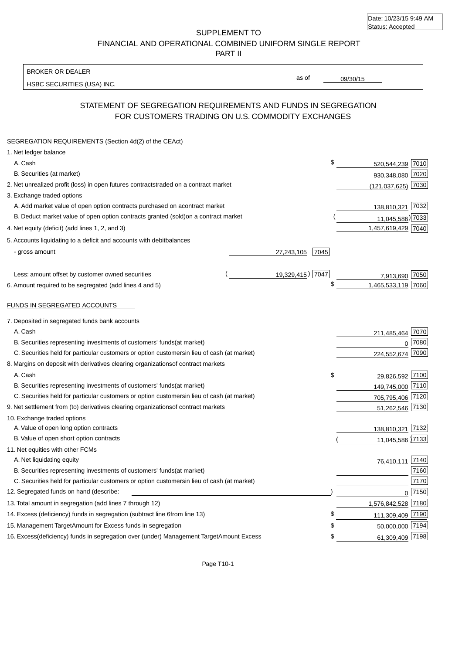| Date: 10/23/15 9:49 AM |  |
|------------------------|--|
| Status: Accepted       |  |

SUPPLEMENT TO FINANCIAL AND OPERATIONAL COMBINED UNIFORM SINGLE REPORT

PART II

#### BROKER OR DEALER

HSBC SECURITIES (USA) INC.

09/30/15

as of

## STATEMENT OF SEGREGATION REQUIREMENTS AND FUNDS IN SEGREGATION FOR CUSTOMERS TRADING ON U.S. COMMODITY EXCHANGES

| SEGREGATION REQUIREMENTS (Section 4d(2) of the CEAct)                                          |                    |                    |          |
|------------------------------------------------------------------------------------------------|--------------------|--------------------|----------|
| 1. Net ledger balance                                                                          |                    |                    |          |
| A. Cash                                                                                        | \$                 | 520,544,239 7010   |          |
| B. Securities (at market)                                                                      |                    | 930,348,080 7020   |          |
| 2. Net unrealized profit (loss) in open futures contracts<br>traded on a contract market       |                    | (121,037,625) 7030 |          |
| 3. Exchange traded options                                                                     |                    |                    |          |
| A. Add market value of open option contracts purchased on a<br>contract market                 |                    | 138,810,321        | 7032     |
| B. Deduct market value of open option contracts granted (sold)<br>on a contract market         |                    | 11,045,586) 7033   |          |
| 4. Net equity (deficit) (add lines 1, 2, and 3)                                                |                    | 1,457,619,429 7040 |          |
| 5. Accounts liquidating to a deficit and accounts with debit<br>balances                       |                    |                    |          |
| - gross amount                                                                                 | 7045<br>27,243,105 |                    |          |
| Less: amount offset by customer owned securities                                               | 19,329,415) 7047   | 7,913,690 7050     |          |
| 6. Amount required to be segregated (add lines 4 and 5)                                        | \$                 | 1,465,533,119 7060 |          |
| FUNDS IN SEGREGATED ACCOUNTS                                                                   |                    |                    |          |
| 7. Deposited in segregated funds bank accounts                                                 |                    |                    |          |
| A. Cash                                                                                        |                    | 211,485,464 7070   |          |
| B. Securities representing investments of customers' funds<br>(at market)                      |                    |                    | $0$ 7080 |
| C. Securities held for particular customers or option customers<br>in lieu of cash (at market) |                    | 224,552,674 7090   |          |
| 8. Margins on deposit with derivatives clearing organizations<br>of contract markets           |                    |                    |          |
| A. Cash                                                                                        | \$                 | 29,826,592 7100    |          |
| B. Securities representing investments of customers' funds<br>(at market)                      |                    | 149,745,000 7110   |          |
| C. Securities held for particular customers or option customers<br>in lieu of cash (at market) |                    | 705,795,406 7120   |          |
| 9. Net settlement from (to) derivatives clearing organizations<br>of contract markets          |                    | 51,262,546 7130    |          |
| 10. Exchange traded options                                                                    |                    |                    |          |
| A. Value of open long option contracts                                                         |                    | 138,810,321 7132   |          |
| B. Value of open short option contracts                                                        |                    | 11,045,586 7133    |          |
| 11. Net equities with other FCMs                                                               |                    |                    |          |
| A. Net liquidating equity                                                                      |                    | 76,410,111         | 7140     |
| B. Securities representing investments of customers' funds<br>(at market)                      |                    |                    | 7160     |
| C. Securities held for particular customers or option customers<br>in lieu of cash (at market) |                    |                    | 7170     |
| 12. Segregated funds on hand (describe:                                                        |                    |                    | $0$ 7150 |
| 13. Total amount in segregation (add lines 7 through 12)                                       |                    | 1,576,842,528 7180 |          |
| 14. Excess (deficiency) funds in segregation (subtract line 6<br>from line 13)                 | \$                 | 111,309,409 7190   |          |
| 15. Management Target Amount for Excess funds in segregation                                   | \$                 | 50,000,000 7194    |          |
| 16. Excess (deficiency) funds in segregation over (under) Management Target Amount Excess      | \$                 | 61,309,409 7198    |          |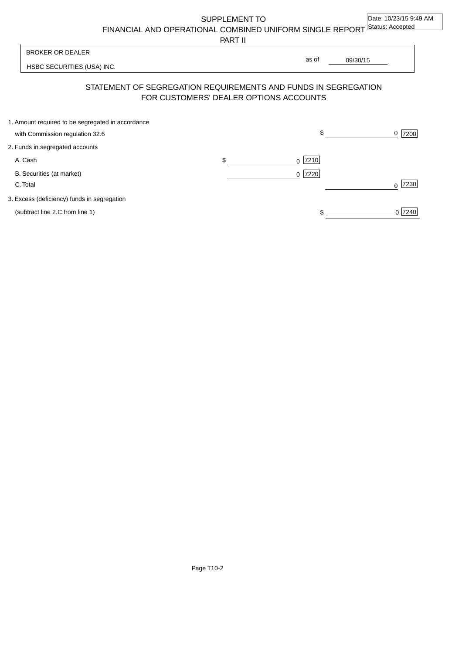SUPPLEMENT TO

FINANCIAL AND OPERATIONAL COMBINED UNIFORM SINGLE REPORT Status: Accepted

PART II

HSBC SECURITIES (USA) INC. 09/30/15 BROKER OR DEALER as of

# STATEMENT OF SEGREGATION REQUIREMENTS AND FUNDS IN SEGREGATION FOR CUSTOMERS' DEALER OPTIONS ACCOUNTS

| 1. Amount required to be segregated in accordance |                 |           |
|---------------------------------------------------|-----------------|-----------|
| with Commission regulation 32.6                   | \$              | 7200<br>0 |
| 2. Funds in segregated accounts                   |                 |           |
| A. Cash                                           | \$<br>$0$  7210 |           |
| B. Securities (at market)                         | $0$  7220       |           |
| C. Total                                          |                 | 7230      |
| 3. Excess (deficiency) funds in segregation       |                 |           |
| (subtract line 2.C from line 1)                   |                 | 0 7240    |
|                                                   |                 |           |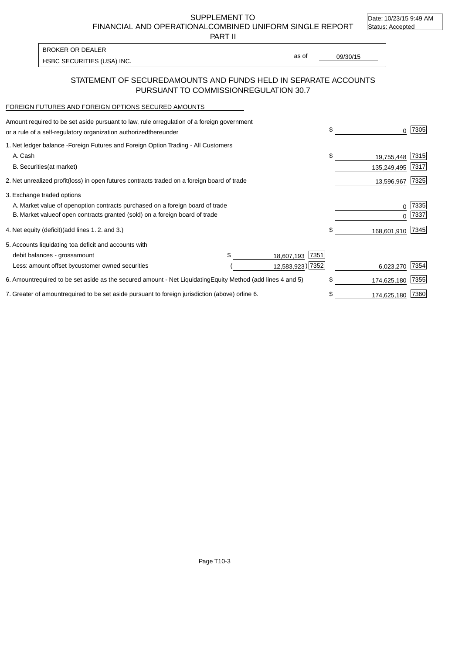Date: 10/23/15 9:49 AM

SUPPLEMENT TO

FINANCIAL AND OPERATIONAL COMBINED UNIFORM SINGLE REPORT Status: Accepted

PART II

HSBC SECURITIES (USA) INC. The second of the second of the second of the second of the second of the second of the second of the second of the second of the second of the second of the second of the second of the second of BROKER OR DEALER

as of

### STATEMENT OF SECURED AMOUNTS AND FUNDS HELD IN SEPARATE ACCOUNTS PURSUANT TO COMMISSION REGULATION 30.7

#### FOREIGN FUTURES AND FOREIGN OPTIONS SECURED AMOUNTS

| Amount required to be set aside pursuant to law, rule or<br>regulation of a foreign government<br>or a rule of a self-regulatory organization authorized<br>thereunder |                                   | \$                        | 7305                              |
|------------------------------------------------------------------------------------------------------------------------------------------------------------------------|-----------------------------------|---------------------------|-----------------------------------|
| 1. Net ledger balance - Foreign Futures and Foreign Option Trading - All Customers<br>A. Cash                                                                          |                                   | \$                        |                                   |
| <b>B.</b> Securities<br>(at market)                                                                                                                                    |                                   | 19,755,448<br>135,249,495 | 7315<br>7317                      |
| 2. Net unrealized profit (loss) in open futures contracts traded on a foreign board of trade                                                                           |                                   | 13,596,967                | 7325                              |
| 3. Exchange traded options                                                                                                                                             |                                   |                           |                                   |
| A. Market value of open option contracts purchased on a foreign board of trade<br>B. Market value of open contracts granted (sold) on a foreign board of trade         |                                   |                           | 7335<br>0<br>7337<br><sup>0</sup> |
| 4. Net equity (deficit) (add lines 1.2. and 3.)                                                                                                                        |                                   | \$                        | 168,601,910 7345                  |
| 5. Accounts liquidating to a deficit and accounts with                                                                                                                 |                                   |                           |                                   |
| debit balances - gross<br>amount                                                                                                                                       | 7351<br>18,607,193                |                           |                                   |
| Less: amount offset by customer owned securities                                                                                                                       | 12,583,923) 7352                  | 6,023,270                 | 7354                              |
| 6. Amount required to be set aside as the secured amount - Net Liquidating                                                                                             | Equity Method (add lines 4 and 5) | \$<br>174,625,180         | 7355                              |
| 7. Greater of amount required to be set aside pursuant to foreign jurisdiction (above) or line 6.                                                                      |                                   | \$<br>174,625,180         | 7360                              |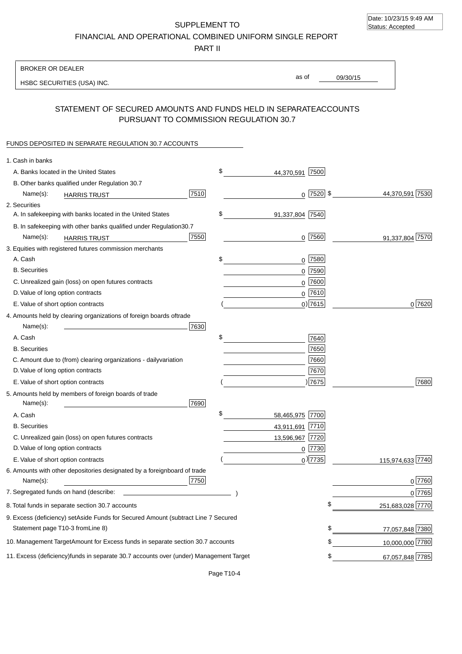Date: 10/23/15 9:49 AM Status: Accepted

SUPPLEMENT TO FINANCIAL AND OPERATIONAL COMBINED UNIFORM SINGLE REPORT

PART II

| <b>BROKER OR DEALER</b>                                                                           |                       |                 |                  |
|---------------------------------------------------------------------------------------------------|-----------------------|-----------------|------------------|
| HSBC SECURITIES (USA) INC.                                                                        | as of                 | 09/30/15        |                  |
|                                                                                                   |                       |                 |                  |
| STATEMENT OF SECURED AMOUNTS AND FUNDS HELD IN SEPARATE<br>PURSUANT TO COMMISSION REGULATION 30.7 |                       | <b>ACCOUNTS</b> |                  |
| FUNDS DEPOSITED IN SEPARATE REGULATION 30.7 ACCOUNTS                                              |                       |                 |                  |
| 1. Cash in banks                                                                                  |                       |                 |                  |
| A. Banks located in the United States                                                             | \$<br>44,370,591 7500 |                 |                  |
| B. Other banks qualified under Regulation 30.7                                                    |                       |                 |                  |
| 7510<br>Name(s):<br><b>HARRIS TRUST</b>                                                           | $0$ 7520 \$           |                 | 44,370,591 7530  |
| 2. Securities                                                                                     |                       |                 |                  |
| A. In safekeeping with banks located in the United States                                         | \$<br>91,337,804 7540 |                 |                  |
| B. In safekeeping with other banks qualified under Regulation<br>30.7                             |                       |                 |                  |
| 7550<br>Name(s):<br><b>HARRIS TRUST</b>                                                           | 7560<br>0             |                 | 91,337,804 7570  |
| 3. Equities with registered futures commission merchants                                          |                       |                 |                  |
| A. Cash                                                                                           | \$<br>$0$ 7580        |                 |                  |
| <b>B.</b> Securities                                                                              | $0$ 7590              |                 |                  |
| C. Unrealized gain (loss) on open futures contracts                                               | $0$ 7600              |                 |                  |
| D. Value of long option contracts                                                                 | $0$ 7610              |                 |                  |
| E. Value of short option contracts                                                                | $0)$ 7615             |                 | 0 7620           |
| 4. Amounts held by clearing organizations of foreign boards of<br>trade                           |                       |                 |                  |
| Name(s):<br>7630                                                                                  |                       |                 |                  |
| A. Cash                                                                                           | \$<br>7640            |                 |                  |
| <b>B.</b> Securities                                                                              | 7650                  |                 |                  |
| C. Amount due to (from) clearing organizations - daily<br>variation                               | 7660                  |                 |                  |
| D. Value of long option contracts                                                                 | 7670                  |                 |                  |
| E. Value of short option contracts                                                                | ) 7675                |                 | 7680             |
| 5. Amounts held by members of foreign boards of trade<br>Name(s):<br>7690                         |                       |                 |                  |
| A. Cash                                                                                           | \$<br>58,465,975 7700 |                 |                  |
| <b>B.</b> Securities                                                                              | 43,911,691 7710       |                 |                  |
| C. Unrealized gain (loss) on open futures contracts                                               | 13,596,967 7720       |                 |                  |
| D. Value of long option contracts                                                                 | $0$ 7730              |                 |                  |
| E. Value of short option contracts                                                                | $_0$ ) 7735           |                 | 115,974,633 7740 |
| 6. Amounts with other depositories designated by a foreign<br>board of trade<br>7750<br>Name(s):  |                       |                 | 0 7760           |
| 7. Segregated funds on hand (describe:                                                            |                       |                 | $0$ 7765         |
| 8. Total funds in separate section 30.7 accounts                                                  |                       |                 | 251,683,028 7770 |
| 9. Excess (deficiency) set Aside Funds for Secured Amount (subtract Line 7 Secured                |                       |                 |                  |
| Statement page T10-3 from Line 8)                                                                 |                       | \$              | 77,057,848 7380  |
| 10. Management Target Amount for Excess funds in separate section 30.7 accounts                   |                       | \$              | 10,000,000 7780  |
| 11. Excess (deficiency) funds in separate 30.7 accounts over (under) Management Target            |                       | \$              | 67,057,848 7785  |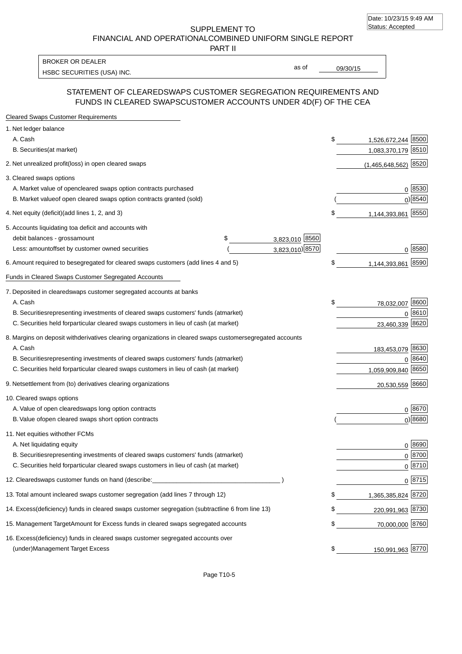SUPPLEMENT TO FINANCIAL AND OPERATIONAL COMBINED UNIFORM SINGLE REPORT

PART II

HSBC SECURITIES (USA) INC. The second second second second second second second second second second second second second second second second second second second second second second second second second second second se BROKER OR DEALER

as of

## STATEMENT OF CLEARED SWAPS CUSTOMER SEGREGATION REQUIREMENTS AND FUNDS IN CLEARED SWAPS CUSTOMER ACCOUNTS UNDER 4D(F) OF THE CEA

| <b>Cleared Swaps Customer Requirements</b>                                                                  |                 |                          |                     |
|-------------------------------------------------------------------------------------------------------------|-----------------|--------------------------|---------------------|
| 1. Net ledger balance                                                                                       |                 |                          |                     |
| A. Cash                                                                                                     |                 | \$<br>1,526,672,244 8500 |                     |
| <b>B.</b> Securities<br>(at market)                                                                         |                 | 1,083,370,179 8510       |                     |
| 2. Net unrealized profit (loss) in open cleared swaps                                                       |                 | $(1,465,648,562)$ 8520   |                     |
| 3. Cleared swaps options                                                                                    |                 |                          |                     |
| A. Market value of open<br>cleared swaps option contracts purchased                                         |                 |                          | 0 8530              |
| B. Market value of open cleared swaps option contracts granted (sold)                                       |                 |                          | $0$ <sup>8540</sup> |
| 4. Net equity (deficit) (add lines 1, 2, and 3)                                                             |                 | \$<br>1,144,393,861      | 8550                |
| 5. Accounts liquidating to a deficit and accounts with                                                      |                 |                          |                     |
| \$<br>debit balances - gross amount                                                                         | 3,823,010 8560  |                          |                     |
| Less: amount offset by customer owned securities                                                            | 3,823,010) 8570 |                          | $0 \; 8580$         |
| 6. Amount required to be segregated for cleared swaps customers (add lines 4 and 5)                         |                 | \$<br>1,144,393,861 8590 |                     |
| Funds in Cleared Swaps Customer Segregated Accounts                                                         |                 |                          |                     |
| 7. Deposited in cleared swaps customer segregated accounts at banks                                         |                 |                          |                     |
| A. Cash                                                                                                     |                 | \$<br>78,032,007 8600    |                     |
| B. Securities representing investments of cleared swaps customers' funds (at market)                        |                 |                          | $0^{8610}$          |
| C. Securities held for particular cleared swaps customers in lieu of cash (at market)                       |                 | 23,460,339 8620          |                     |
| 8. Margins on deposit with derivatives clearing organizations in cleared swaps customer segregated accounts |                 |                          |                     |
| A. Cash                                                                                                     |                 | 183,453,079 8630         |                     |
| B. Securities representing investments of cleared swaps customers' funds (at market)                        |                 |                          | 0 8640              |
| C. Securities held for particular cleared swaps customers in lieu of cash (at market)                       |                 | 1,059,909,840 8650       |                     |
| 9. Net settlement from (to) derivatives clearing organizations                                              |                 | 20,530,559 8660          |                     |
| 10. Cleared swaps options                                                                                   |                 |                          |                     |
| A. Value of open cleared swaps long option contracts                                                        |                 |                          | 0 8670              |
| B. Value of open cleared swaps short option contracts                                                       |                 |                          | $0$ ) 8680          |
| 11. Net equities with other FCMs                                                                            |                 |                          |                     |
| A. Net liquidating equity                                                                                   |                 |                          | $0^{8690}$          |
| B. Securities representing investments of cleared swaps customers' funds (at market)                        |                 |                          | 0 8700              |
| C. Securities held for particular cleared swaps customers in lieu of cash (at market)                       |                 |                          | 0 8710              |
| 12. Cleared swaps customer funds on hand (describe:                                                         |                 |                          | $0 \, 8715$         |
| 13. Total amount in cleared swaps customer segregation (add lines 7 through 12)                             |                 | \$<br>1,365,385,824 8720 |                     |
| 14. Excess (deficiency) funds in cleared swaps customer segregation (subtract line 6 from line 13)          |                 | \$<br>220,991,963 8730   |                     |
| 15. Management Target Amount for Excess funds in cleared swaps segregated accounts                          |                 | \$<br>70,000,000 8760    |                     |
| 16. Excess<br>(deficiency) funds in cleared swaps customer segregated accounts over                         |                 |                          |                     |
| <b>Management Target Excess</b><br>(under)                                                                  |                 | \$<br>150,991,963 8770   |                     |